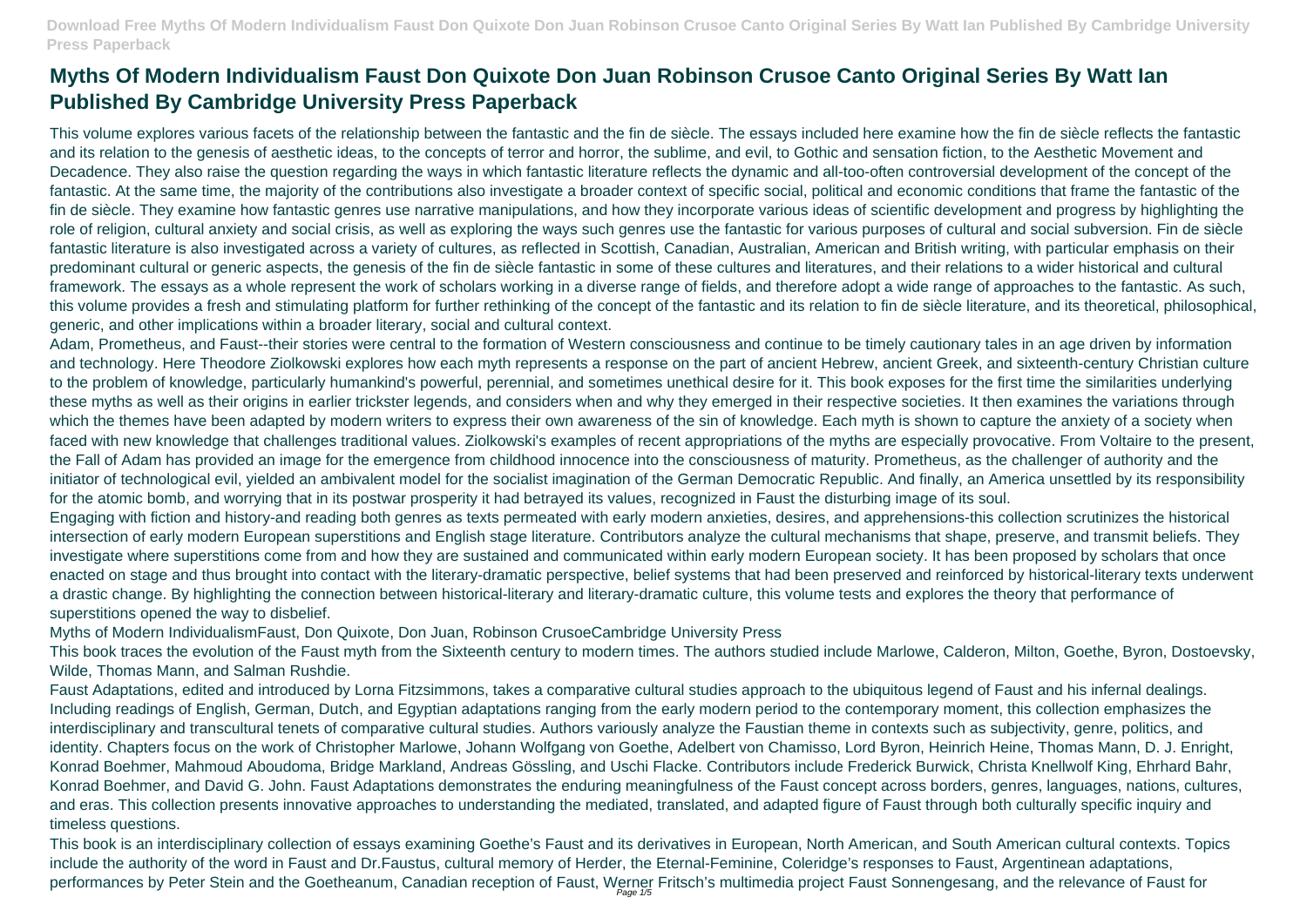# **Myths Of Modern Individualism Faust Don Quixote Don Juan Robinson Crusoe Canto Original Series By Watt Ian Published By Cambridge University Press Paperback**

This volume explores various facets of the relationship between the fantastic and the fin de siècle. The essays included here examine how the fin de siècle reflects the fantastic and its relation to the genesis of aesthetic ideas, to the concepts of terror and horror, the sublime, and evil, to Gothic and sensation fiction, to the Aesthetic Movement and Decadence. They also raise the question regarding the ways in which fantastic literature reflects the dynamic and all-too-often controversial development of the concept of the fantastic. At the same time, the majority of the contributions also investigate a broader context of specific social, political and economic conditions that frame the fantastic of the fin de siècle. They examine how fantastic genres use narrative manipulations, and how they incorporate various ideas of scientific development and progress by highlighting the role of religion, cultural anxiety and social crisis, as well as exploring the ways such genres use the fantastic for various purposes of cultural and social subversion. Fin de siècle fantastic literature is also investigated across a variety of cultures, as reflected in Scottish, Canadian, Australian, American and British writing, with particular emphasis on their predominant cultural or generic aspects, the genesis of the fin de siècle fantastic in some of these cultures and literatures, and their relations to a wider historical and cultural framework. The essays as a whole represent the work of scholars working in a diverse range of fields, and therefore adopt a wide range of approaches to the fantastic. As such, this volume provides a fresh and stimulating platform for further rethinking of the concept of the fantastic and its relation to fin de siècle literature, and its theoretical, philosophical, generic, and other implications within a broader literary, social and cultural context.

This book is an interdisciplinary collection of essays examining Goethe's Faust and its derivatives in European, North American, and South American cultural contexts. Topics include the authority of the word in Faust and Dr.Faustus, cultural memory of Herder, the Eternal-Feminine, Coleridge's responses to Faust, Argentinean adaptations, performances by Peter Stein and the Goetheanum, Canadian reception of Faust, Werner Fritsch's multimedia project Faust Sonnengesang, and the relevance of Faust for

Adam, Prometheus, and Faust--their stories were central to the formation of Western consciousness and continue to be timely cautionary tales in an age driven by information and technology. Here Theodore Ziolkowski explores how each myth represents a response on the part of ancient Hebrew, ancient Greek, and sixteenth-century Christian culture to the problem of knowledge, particularly humankind's powerful, perennial, and sometimes unethical desire for it. This book exposes for the first time the similarities underlying these myths as well as their origins in earlier trickster legends, and considers when and why they emerged in their respective societies. It then examines the variations through which the themes have been adapted by modern writers to express their own awareness of the sin of knowledge. Each myth is shown to capture the anxiety of a society when faced with new knowledge that challenges traditional values. Ziolkowski's examples of recent appropriations of the myths are especially provocative. From Voltaire to the present, the Fall of Adam has provided an image for the emergence from childhood innocence into the consciousness of maturity. Prometheus, as the challenger of authority and the initiator of technological evil, yielded an ambivalent model for the socialist imagination of the German Democratic Republic. And finally, an America unsettled by its responsibility for the atomic bomb, and worrying that in its postwar prosperity it had betrayed its values, recognized in Faust the disturbing image of its soul. Engaging with fiction and history-and reading both genres as texts permeated with early modern anxieties, desires, and apprehensions-this collection scrutinizes the historical intersection of early modern European superstitions and English stage literature. Contributors analyze the cultural mechanisms that shape, preserve, and transmit beliefs. They investigate where superstitions come from and how they are sustained and communicated within early modern European society. It has been proposed by scholars that once enacted on stage and thus brought into contact with the literary-dramatic perspective, belief systems that had been preserved and reinforced by historical-literary texts underwent a drastic change. By highlighting the connection between historical-literary and literary-dramatic culture, this volume tests and explores the theory that performance of superstitions opened the way to disbelief.

Myths of Modern IndividualismFaust, Don Quixote, Don Juan, Robinson CrusoeCambridge University Press

This book traces the evolution of the Faust myth from the Sixteenth century to modern times. The authors studied include Marlowe, Calderon, Milton, Goethe, Byron, Dostoevsky, Wilde, Thomas Mann, and Salman Rushdie.

Faust Adaptations, edited and introduced by Lorna Fitzsimmons, takes a comparative cultural studies approach to the ubiquitous legend of Faust and his infernal dealings. Including readings of English, German, Dutch, and Egyptian adaptations ranging from the early modern period to the contemporary moment, this collection emphasizes the interdisciplinary and transcultural tenets of comparative cultural studies. Authors variously analyze the Faustian theme in contexts such as subjectivity, genre, politics, and identity. Chapters focus on the work of Christopher Marlowe, Johann Wolfgang von Goethe, Adelbert von Chamisso, Lord Byron, Heinrich Heine, Thomas Mann, D. J. Enright, Konrad Boehmer, Mahmoud Aboudoma, Bridge Markland, Andreas Gössling, and Uschi Flacke. Contributors include Frederick Burwick, Christa Knellwolf King, Ehrhard Bahr, Konrad Boehmer, and David G. John. Faust Adaptations demonstrates the enduring meaningfulness of the Faust concept across borders, genres, languages, nations, cultures, and eras. This collection presents innovative approaches to understanding the mediated, translated, and adapted figure of Faust through both culturally specific inquiry and timeless questions.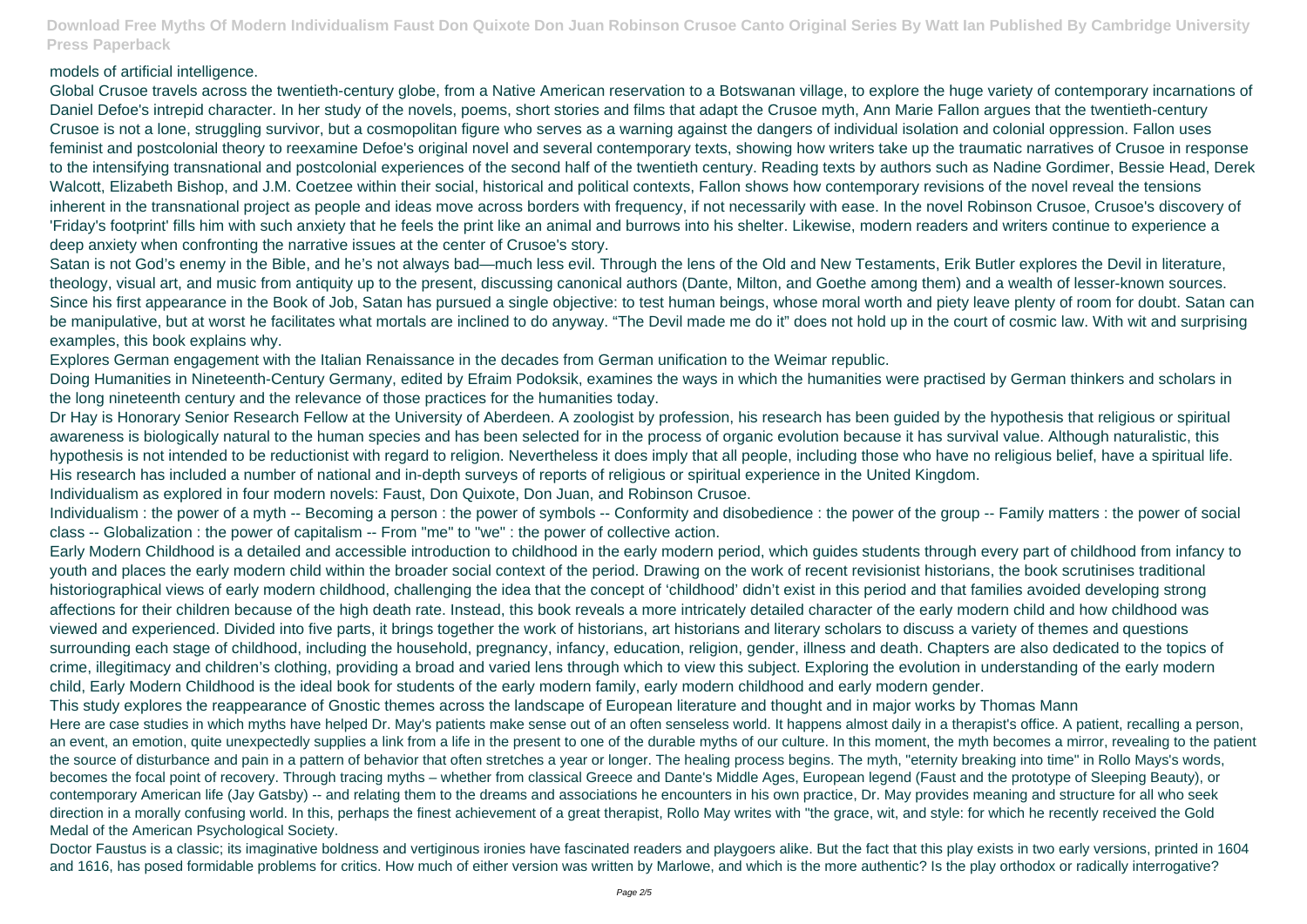## models of artificial intelligence.

Global Crusoe travels across the twentieth-century globe, from a Native American reservation to a Botswanan village, to explore the huge variety of contemporary incarnations of Daniel Defoe's intrepid character. In her study of the novels, poems, short stories and films that adapt the Crusoe myth, Ann Marie Fallon argues that the twentieth-century Crusoe is not a lone, struggling survivor, but a cosmopolitan figure who serves as a warning against the dangers of individual isolation and colonial oppression. Fallon uses feminist and postcolonial theory to reexamine Defoe's original novel and several contemporary texts, showing how writers take up the traumatic narratives of Crusoe in response to the intensifying transnational and postcolonial experiences of the second half of the twentieth century. Reading texts by authors such as Nadine Gordimer, Bessie Head, Derek Walcott, Elizabeth Bishop, and J.M. Coetzee within their social, historical and political contexts, Fallon shows how contemporary revisions of the novel reveal the tensions inherent in the transnational project as people and ideas move across borders with frequency, if not necessarily with ease. In the novel Robinson Crusoe, Crusoe's discovery of 'Friday's footprint' fills him with such anxiety that he feels the print like an animal and burrows into his shelter. Likewise, modern readers and writers continue to experience a deep anxiety when confronting the narrative issues at the center of Crusoe's story.

Satan is not God's enemy in the Bible, and he's not always bad—much less evil. Through the lens of the Old and New Testaments, Erik Butler explores the Devil in literature, theology, visual art, and music from antiquity up to the present, discussing canonical authors (Dante, Milton, and Goethe among them) and a wealth of lesser-known sources. Since his first appearance in the Book of Job, Satan has pursued a single objective: to test human beings, whose moral worth and piety leave plenty of room for doubt. Satan can be manipulative, but at worst he facilitates what mortals are inclined to do anyway. "The Devil made me do it" does not hold up in the court of cosmic law. With wit and surprising examples, this book explains why.

Explores German engagement with the Italian Renaissance in the decades from German unification to the Weimar republic.

Doing Humanities in Nineteenth-Century Germany, edited by Efraim Podoksik, examines the ways in which the humanities were practised by German thinkers and scholars in the long nineteenth century and the relevance of those practices for the humanities today.

Dr Hay is Honorary Senior Research Fellow at the University of Aberdeen. A zoologist by profession, his research has been guided by the hypothesis that religious or spiritual awareness is biologically natural to the human species and has been selected for in the process of organic evolution because it has survival value. Although naturalistic, this hypothesis is not intended to be reductionist with regard to religion. Nevertheless it does imply that all people, including those who have no religious belief, have a spiritual life. His research has included a number of national and in-depth surveys of reports of religious or spiritual experience in the United Kingdom. Individualism as explored in four modern novels: Faust, Don Quixote, Don Juan, and Robinson Crusoe.

Doctor Faustus is a classic; its imaginative boldness and vertiginous ironies have fascinated readers and playgoers alike. But the fact that this play exists in two early versions, printed in 1604 and 1616, has posed formidable problems for critics. How much of either version was written by Marlowe, and which is the more authentic? Is the play orthodox or radically interrogative?

Individualism : the power of a myth -- Becoming a person : the power of symbols -- Conformity and disobedience : the power of the group -- Family matters : the power of social class -- Globalization : the power of capitalism -- From "me" to "we" : the power of collective action.

Early Modern Childhood is a detailed and accessible introduction to childhood in the early modern period, which guides students through every part of childhood from infancy to youth and places the early modern child within the broader social context of the period. Drawing on the work of recent revisionist historians, the book scrutinises traditional historiographical views of early modern childhood, challenging the idea that the concept of 'childhood' didn't exist in this period and that families avoided developing strong affections for their children because of the high death rate. Instead, this book reveals a more intricately detailed character of the early modern child and how childhood was viewed and experienced. Divided into five parts, it brings together the work of historians, art historians and literary scholars to discuss a variety of themes and questions surrounding each stage of childhood, including the household, pregnancy, infancy, education, religion, gender, illness and death. Chapters are also dedicated to the topics of crime, illegitimacy and children's clothing, providing a broad and varied lens through which to view this subject. Exploring the evolution in understanding of the early modern child, Early Modern Childhood is the ideal book for students of the early modern family, early modern childhood and early modern gender. This study explores the reappearance of Gnostic themes across the landscape of European literature and thought and in major works by Thomas Mann Here are case studies in which myths have helped Dr. May's patients make sense out of an often senseless world. It happens almost daily in a therapist's office. A patient, recalling a person, an event, an emotion, quite unexpectedly supplies a link from a life in the present to one of the durable myths of our culture. In this moment, the myth becomes a mirror, revealing to the patient the source of disturbance and pain in a pattern of behavior that often stretches a year or longer. The healing process begins. The myth, "eternity breaking into time" in Rollo Mays's words, becomes the focal point of recovery. Through tracing myths – whether from classical Greece and Dante's Middle Ages, European legend (Faust and the prototype of Sleeping Beauty), or contemporary American life (Jay Gatsby) -- and relating them to the dreams and associations he encounters in his own practice, Dr. May provides meaning and structure for all who seek direction in a morally confusing world. In this, perhaps the finest achievement of a great therapist, Rollo May writes with "the grace, wit, and style: for which he recently received the Gold Medal of the American Psychological Society.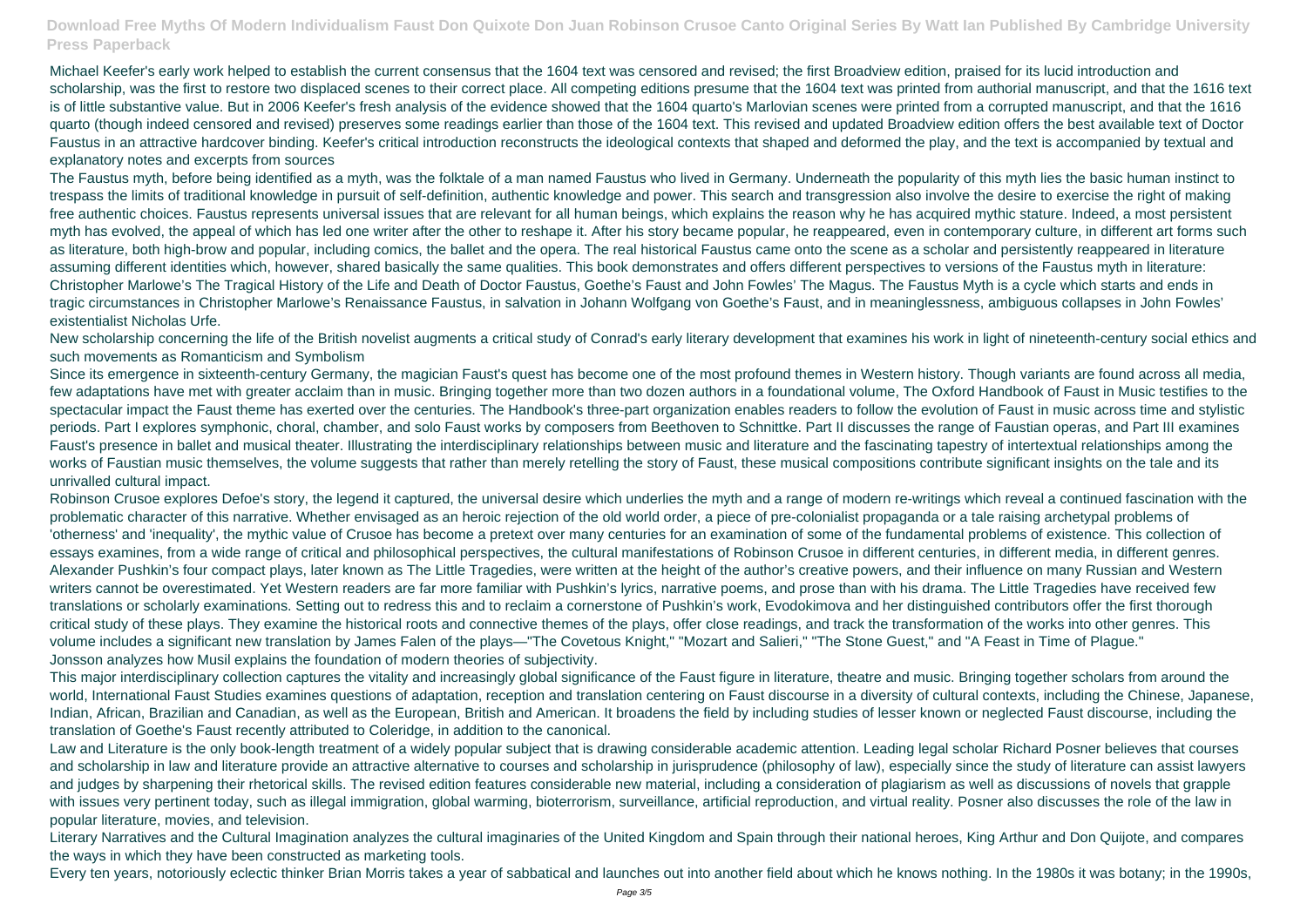Michael Keefer's early work helped to establish the current consensus that the 1604 text was censored and revised; the first Broadview edition, praised for its lucid introduction and scholarship, was the first to restore two displaced scenes to their correct place. All competing editions presume that the 1604 text was printed from authorial manuscript, and that the 1616 text is of little substantive value. But in 2006 Keefer's fresh analysis of the evidence showed that the 1604 quarto's Marlovian scenes were printed from a corrupted manuscript, and that the 1616 quarto (though indeed censored and revised) preserves some readings earlier than those of the 1604 text. This revised and updated Broadview edition offers the best available text of Doctor Faustus in an attractive hardcover binding. Keefer's critical introduction reconstructs the ideological contexts that shaped and deformed the play, and the text is accompanied by textual and explanatory notes and excerpts from sources

The Faustus myth, before being identified as a myth, was the folktale of a man named Faustus who lived in Germany. Underneath the popularity of this myth lies the basic human instinct to trespass the limits of traditional knowledge in pursuit of self-definition, authentic knowledge and power. This search and transgression also involve the desire to exercise the right of making free authentic choices. Faustus represents universal issues that are relevant for all human beings, which explains the reason why he has acquired mythic stature. Indeed, a most persistent myth has evolved, the appeal of which has led one writer after the other to reshape it. After his story became popular, he reappeared, even in contemporary culture, in different art forms such as literature, both high-brow and popular, including comics, the ballet and the opera. The real historical Faustus came onto the scene as a scholar and persistently reappeared in literature assuming different identities which, however, shared basically the same qualities. This book demonstrates and offers different perspectives to versions of the Faustus myth in literature: Christopher Marlowe's The Tragical History of the Life and Death of Doctor Faustus, Goethe's Faust and John Fowles' The Magus. The Faustus Myth is a cycle which starts and ends in tragic circumstances in Christopher Marlowe's Renaissance Faustus, in salvation in Johann Wolfgang von Goethe's Faust, and in meaninglessness, ambiguous collapses in John Fowles' existentialist Nicholas Urfe.

Since its emergence in sixteenth-century Germany, the magician Faust's quest has become one of the most profound themes in Western history. Though variants are found across all media, few adaptations have met with greater acclaim than in music. Bringing together more than two dozen authors in a foundational volume, The Oxford Handbook of Faust in Music testifies to the spectacular impact the Faust theme has exerted over the centuries. The Handbook's three-part organization enables readers to follow the evolution of Faust in music across time and stylistic periods. Part I explores symphonic, choral, chamber, and solo Faust works by composers from Beethoven to Schnittke. Part II discusses the range of Faustian operas, and Part III examines Faust's presence in ballet and musical theater. Illustrating the interdisciplinary relationships between music and literature and the fascinating tapestry of intertextual relationships among the works of Faustian music themselves, the volume suggests that rather than merely retelling the story of Faust, these musical compositions contribute significant insights on the tale and its unrivalled cultural impact.

New scholarship concerning the life of the British novelist augments a critical study of Conrad's early literary development that examines his work in light of nineteenth-century social ethics and such movements as Romanticism and Symbolism

Robinson Crusoe explores Defoe's story, the legend it captured, the universal desire which underlies the myth and a range of modern re-writings which reveal a continued fascination with the problematic character of this narrative. Whether envisaged as an heroic rejection of the old world order, a piece of pre-colonialist propaganda or a tale raising archetypal problems of 'otherness' and 'inequality', the mythic value of Crusoe has become a pretext over many centuries for an examination of some of the fundamental problems of existence. This collection of essays examines, from a wide range of critical and philosophical perspectives, the cultural manifestations of Robinson Crusoe in different centuries, in different media, in different genres. Alexander Pushkin's four compact plays, later known as The Little Tragedies, were written at the height of the author's creative powers, and their influence on many Russian and Western writers cannot be overestimated. Yet Western readers are far more familiar with Pushkin's lyrics, narrative poems, and prose than with his drama. The Little Tragedies have received few translations or scholarly examinations. Setting out to redress this and to reclaim a cornerstone of Pushkin's work, Evodokimova and her distinguished contributors offer the first thorough critical study of these plays. They examine the historical roots and connective themes of the plays, offer close readings, and track the transformation of the works into other genres. This volume includes a significant new translation by James Falen of the plays—"The Covetous Knight," "Mozart and Salieri," "The Stone Guest," and "A Feast in Time of Plague." Jonsson analyzes how Musil explains the foundation of modern theories of subjectivity.

This major interdisciplinary collection captures the vitality and increasingly global significance of the Faust figure in literature, theatre and music. Bringing together scholars from around the world, International Faust Studies examines questions of adaptation, reception and translation centering on Faust discourse in a diversity of cultural contexts, including the Chinese, Japanese, Indian, African, Brazilian and Canadian, as well as the European, British and American. It broadens the field by including studies of lesser known or neglected Faust discourse, including the translation of Goethe's Faust recently attributed to Coleridge, in addition to the canonical.

Law and Literature is the only book-length treatment of a widely popular subject that is drawing considerable academic attention. Leading legal scholar Richard Posner believes that courses and scholarship in law and literature provide an attractive alternative to courses and scholarship in jurisprudence (philosophy of law), especially since the study of literature can assist lawyers and judges by sharpening their rhetorical skills. The revised edition features considerable new material, including a consideration of plagiarism as well as discussions of novels that grapple with issues very pertinent today, such as illegal immigration, global warming, bioterrorism, surveillance, artificial reproduction, and virtual reality. Posner also discusses the role of the law in popular literature, movies, and television.

Literary Narratives and the Cultural Imagination analyzes the cultural imaginaries of the United Kingdom and Spain through their national heroes, King Arthur and Don Quijote, and compares the ways in which they have been constructed as marketing tools.

Every ten years, notoriously eclectic thinker Brian Morris takes a year of sabbatical and launches out into another field about which he knows nothing. In the 1980s it was botany; in the 1990s,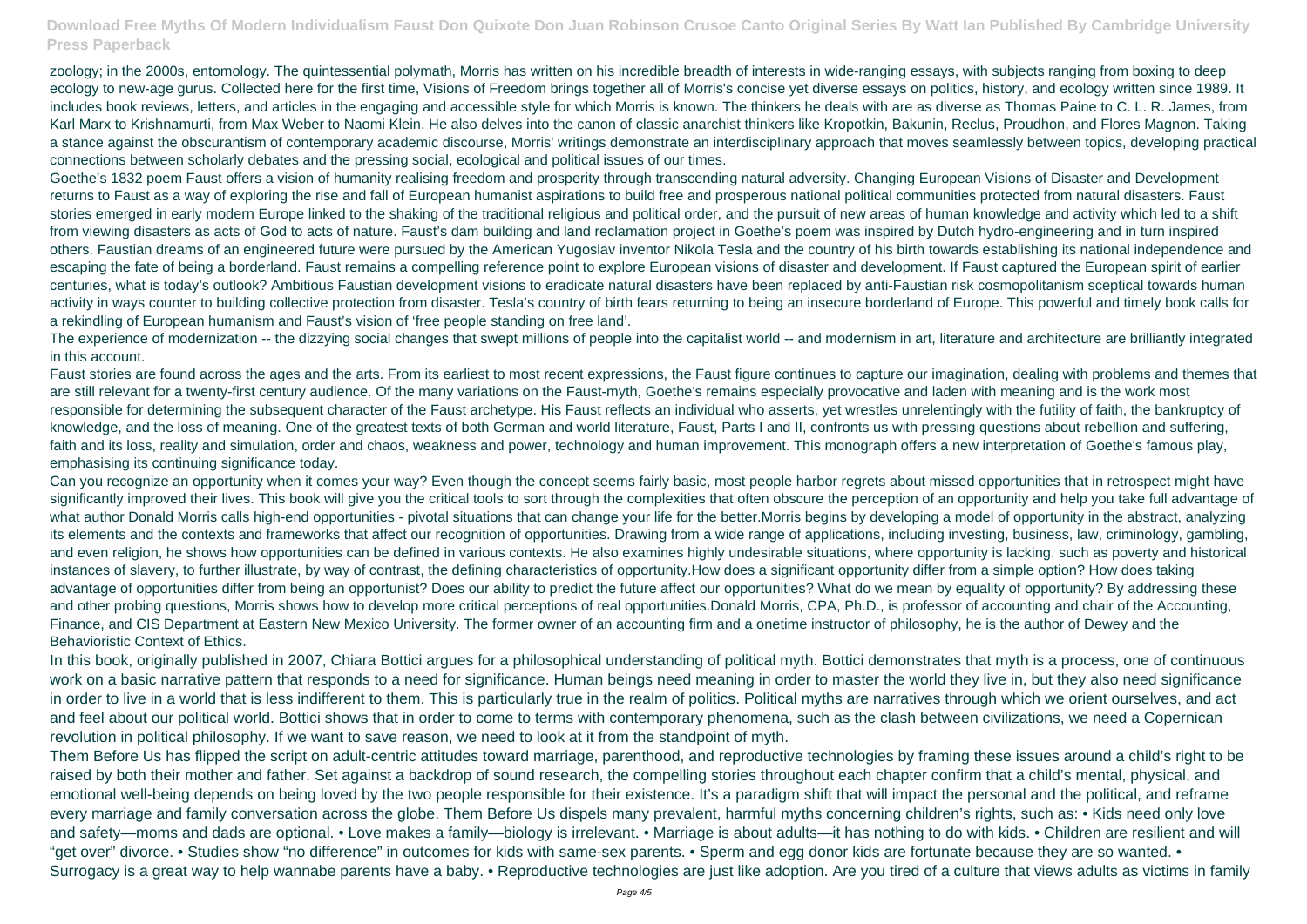zoology; in the 2000s, entomology. The quintessential polymath, Morris has written on his incredible breadth of interests in wide-ranging essays, with subjects ranging from boxing to deep ecology to new-age gurus. Collected here for the first time, Visions of Freedom brings together all of Morris's concise yet diverse essays on politics, history, and ecology written since 1989. It includes book reviews, letters, and articles in the engaging and accessible style for which Morris is known. The thinkers he deals with are as diverse as Thomas Paine to C. L. R. James, from Karl Marx to Krishnamurti, from Max Weber to Naomi Klein. He also delves into the canon of classic anarchist thinkers like Kropotkin, Bakunin, Reclus, Proudhon, and Flores Magnon. Taking a stance against the obscurantism of contemporary academic discourse, Morris' writings demonstrate an interdisciplinary approach that moves seamlessly between topics, developing practical connections between scholarly debates and the pressing social, ecological and political issues of our times.

Goethe's 1832 poem Faust offers a vision of humanity realising freedom and prosperity through transcending natural adversity. Changing European Visions of Disaster and Development returns to Faust as a way of exploring the rise and fall of European humanist aspirations to build free and prosperous national political communities protected from natural disasters. Faust stories emerged in early modern Europe linked to the shaking of the traditional religious and political order, and the pursuit of new areas of human knowledge and activity which led to a shift from viewing disasters as acts of God to acts of nature. Faust's dam building and land reclamation project in Goethe's poem was inspired by Dutch hydro-engineering and in turn inspired others. Faustian dreams of an engineered future were pursued by the American Yugoslav inventor Nikola Tesla and the country of his birth towards establishing its national independence and escaping the fate of being a borderland. Faust remains a compelling reference point to explore European visions of disaster and development. If Faust captured the European spirit of earlier centuries, what is today's outlook? Ambitious Faustian development visions to eradicate natural disasters have been replaced by anti-Faustian risk cosmopolitanism sceptical towards human activity in ways counter to building collective protection from disaster. Tesla's country of birth fears returning to being an insecure borderland of Europe. This powerful and timely book calls for a rekindling of European humanism and Faust's vision of 'free people standing on free land'.

The experience of modernization -- the dizzying social changes that swept millions of people into the capitalist world -- and modernism in art, literature and architecture are brilliantly integrated in this account.

Them Before Us has flipped the script on adult-centric attitudes toward marriage, parenthood, and reproductive technologies by framing these issues around a child's right to be raised by both their mother and father. Set against a backdrop of sound research, the compelling stories throughout each chapter confirm that a child's mental, physical, and emotional well-being depends on being loved by the two people responsible for their existence. It's a paradigm shift that will impact the personal and the political, and reframe every marriage and family conversation across the globe. Them Before Us dispels many prevalent, harmful myths concerning children's rights, such as: • Kids need only love and safety—moms and dads are optional. • Love makes a family—biology is irrelevant. • Marriage is about adults—it has nothing to do with kids. • Children are resilient and will "get over" divorce. • Studies show "no difference" in outcomes for kids with same-sex parents. • Sperm and egg donor kids are fortunate because they are so wanted. • Surrogacy is a great way to help wannabe parents have a baby. • Reproductive technologies are just like adoption. Are you tired of a culture that views adults as victims in family

Faust stories are found across the ages and the arts. From its earliest to most recent expressions, the Faust figure continues to capture our imagination, dealing with problems and themes that are still relevant for a twenty-first century audience. Of the many variations on the Faust-myth, Goethe's remains especially provocative and laden with meaning and is the work most responsible for determining the subsequent character of the Faust archetype. His Faust reflects an individual who asserts, yet wrestles unrelentingly with the futility of faith, the bankruptcy of knowledge, and the loss of meaning. One of the greatest texts of both German and world literature, Faust, Parts I and II, confronts us with pressing questions about rebellion and suffering, faith and its loss, reality and simulation, order and chaos, weakness and power, technology and human improvement. This monograph offers a new interpretation of Goethe's famous play, emphasising its continuing significance today.

Can you recognize an opportunity when it comes your way? Even though the concept seems fairly basic, most people harbor regrets about missed opportunities that in retrospect might have significantly improved their lives. This book will give you the critical tools to sort through the complexities that often obscure the perception of an opportunity and help you take full advantage of what author Donald Morris calls high-end opportunities - pivotal situations that can change your life for the better.Morris begins by developing a model of opportunity in the abstract, analyzing its elements and the contexts and frameworks that affect our recognition of opportunities. Drawing from a wide range of applications, including investing, business, law, criminology, gambling, and even religion, he shows how opportunities can be defined in various contexts. He also examines highly undesirable situations, where opportunity is lacking, such as poverty and historical instances of slavery, to further illustrate, by way of contrast, the defining characteristics of opportunity.How does a significant opportunity differ from a simple option? How does taking advantage of opportunities differ from being an opportunist? Does our ability to predict the future affect our opportunities? What do we mean by equality of opportunity? By addressing these and other probing questions, Morris shows how to develop more critical perceptions of real opportunities.Donald Morris, CPA, Ph.D., is professor of accounting and chair of the Accounting, Finance, and CIS Department at Eastern New Mexico University. The former owner of an accounting firm and a onetime instructor of philosophy, he is the author of Dewey and the Behavioristic Context of Ethics.

In this book, originally published in 2007, Chiara Bottici argues for a philosophical understanding of political myth. Bottici demonstrates that myth is a process, one of continuous work on a basic narrative pattern that responds to a need for significance. Human beings need meaning in order to master the world they live in, but they also need significance in order to live in a world that is less indifferent to them. This is particularly true in the realm of politics. Political myths are narratives through which we orient ourselves, and act and feel about our political world. Bottici shows that in order to come to terms with contemporary phenomena, such as the clash between civilizations, we need a Copernican revolution in political philosophy. If we want to save reason, we need to look at it from the standpoint of myth.